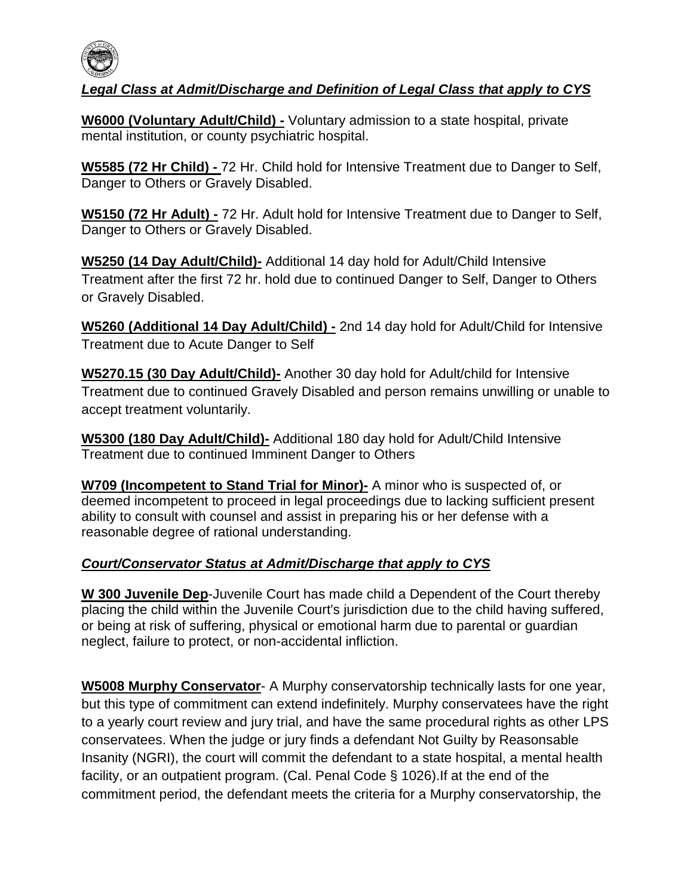

## *Legal Class at Admit/Discharge and Definition of Legal Class that apply to CYS*

**W6000 (Voluntary Adult/Child) -** Voluntary admission to a state hospital, private mental institution, or county psychiatric hospital.

**W5585 (72 Hr Child) -** 72 Hr. Child hold for Intensive Treatment due to Danger to Self, Danger to Others or Gravely Disabled.

**W5150 (72 Hr Adult) -** 72 Hr. Adult hold for Intensive Treatment due to Danger to Self, Danger to Others or Gravely Disabled.

**W5250 (14 Day Adult/Child)-** Additional 14 day hold for Adult/Child Intensive Treatment after the first 72 hr. hold due to continued Danger to Self, Danger to Others or Gravely Disabled.

**W5260 (Additional 14 Day Adult/Child) -** 2nd 14 day hold for Adult/Child for Intensive Treatment due to Acute Danger to Self

**W5270.15 (30 Day Adult/Child)-** Another 30 day hold for Adult/child for Intensive Treatment due to continued Gravely Disabled and person remains unwilling or unable to accept treatment voluntarily.

**W5300 (180 Day Adult/Child)-** Additional 180 day hold for Adult/Child Intensive Treatment due to continued Imminent Danger to Others

**W709 (Incompetent to Stand Trial for Minor)-** A minor who is suspected of, or deemed incompetent to proceed in legal proceedings due to lacking sufficient present ability to consult with counsel and assist in preparing his or her defense with a reasonable degree of rational understanding.

## *Court/Conservator Status at Admit/Discharge that apply to CYS*

**W 300 Juvenile Dep**-Juvenile Court has made child a Dependent of the Court thereby placing the child within the Juvenile Court's jurisdiction due to the child having suffered, or being at risk of suffering, physical or emotional harm due to parental or guardian neglect, failure to protect, or non-accidental infliction.

**W5008 Murphy Conservator**- A Murphy conservatorship technically lasts for one year, but this type of commitment can extend indefinitely. Murphy conservatees have the right to a yearly court review and jury trial, and have the same procedural rights as other LPS conservatees. When the judge or jury finds a defendant Not Guilty by Reasonsable Insanity (NGRI), the court will commit the defendant to a state hospital, a mental health facility, or an outpatient program. (Cal. Penal Code § 1026).If at the end of the commitment period, the defendant meets the criteria for a Murphy conservatorship, the